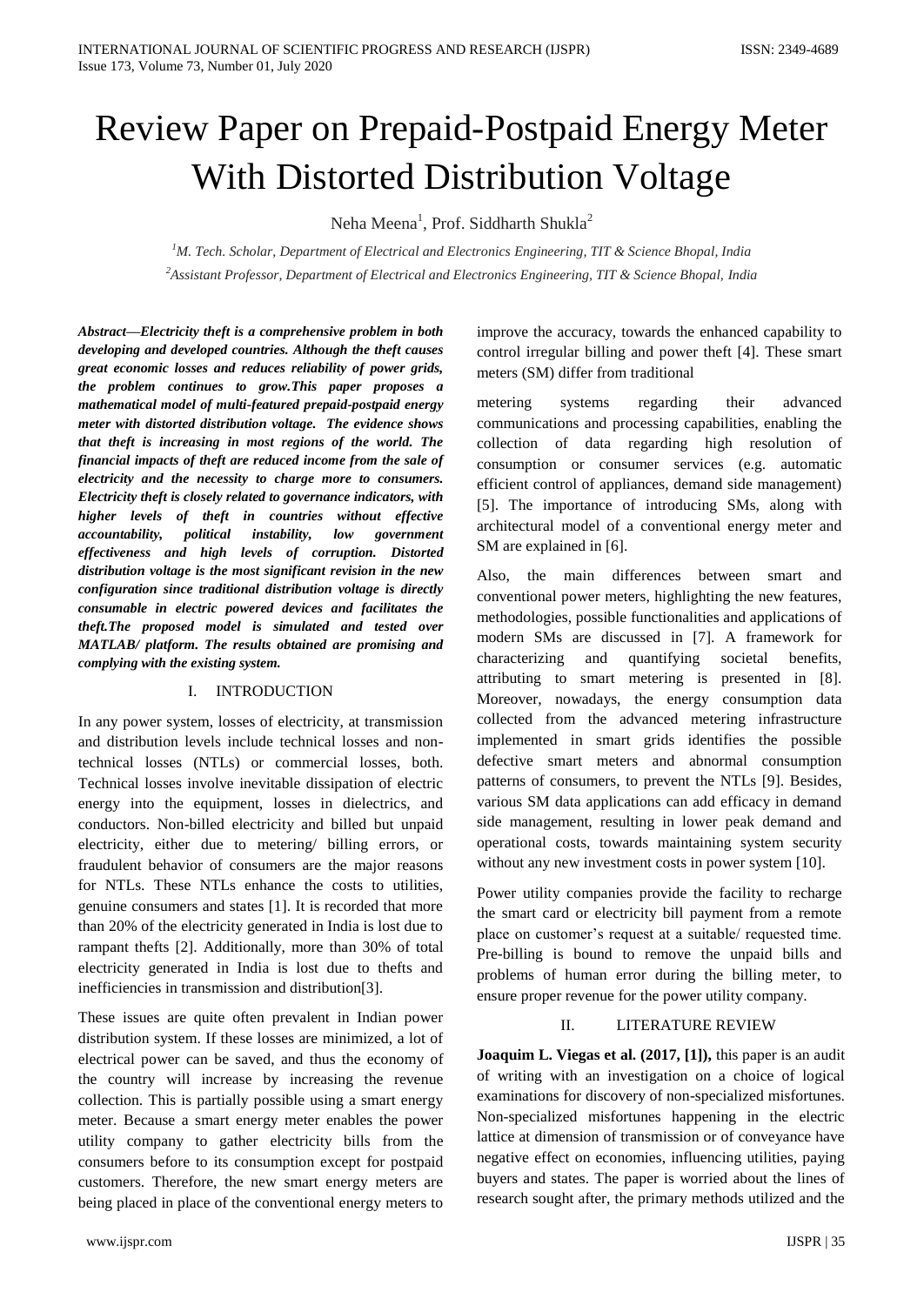# Review Paper on Prepaid-Postpaid Energy Meter With Distorted Distribution Voltage

Neha Meena<sup>1</sup>, Prof. Siddharth Shukla<sup>2</sup>

*<sup>1</sup>M. Tech. Scholar, Department of Electrical and Electronics Engineering, TIT & Science Bhopal, India <sup>2</sup>Assistant Professor, Department of Electrical and Electronics Engineering, TIT & Science Bhopal, India*

*Abstract—Electricity theft is a comprehensive problem in both developing and developed countries. Although the theft causes great economic losses and reduces reliability of power grids, the problem continues to grow.This paper proposes a mathematical model of multi-featured prepaid-postpaid energy meter with distorted distribution voltage. The evidence shows that theft is increasing in most regions of the world. The financial impacts of theft are reduced income from the sale of electricity and the necessity to charge more to consumers. Electricity theft is closely related to governance indicators, with higher levels of theft in countries without effective accountability, political instability, low government effectiveness and high levels of corruption. Distorted distribution voltage is the most significant revision in the new configuration since traditional distribution voltage is directly consumable in electric powered devices and facilitates the theft.The proposed model is simulated and tested over MATLAB/ platform. The results obtained are promising and complying with the existing system.*

## I. INTRODUCTION

In any power system, losses of electricity, at transmission and distribution levels include technical losses and nontechnical losses (NTLs) or commercial losses, both. Technical losses involve inevitable dissipation of electric energy into the equipment, losses in dielectrics, and conductors. Non-billed electricity and billed but unpaid electricity, either due to metering/ billing errors, or fraudulent behavior of consumers are the major reasons for NTLs. These NTLs enhance the costs to utilities, genuine consumers and states [1]. It is recorded that more than 20% of the electricity generated in India is lost due to rampant thefts [2]. Additionally, more than 30% of total electricity generated in India is lost due to thefts and inefficiencies in transmission and distribution[3].

These issues are quite often prevalent in Indian power distribution system. If these losses are minimized, a lot of electrical power can be saved, and thus the economy of the country will increase by increasing the revenue collection. This is partially possible using a smart energy meter. Because a smart energy meter enables the power utility company to gather electricity bills from the consumers before to its consumption except for postpaid customers. Therefore, the new smart energy meters are being placed in place of the conventional energy meters to

improve the accuracy, towards the enhanced capability to control irregular billing and power theft [4]. These smart meters (SM) differ from traditional

metering systems regarding their advanced communications and processing capabilities, enabling the collection of data regarding high resolution of consumption or consumer services (e.g. automatic efficient control of appliances, demand side management) [5]. The importance of introducing SMs, along with architectural model of a conventional energy meter and SM are explained in [6].

Also, the main differences between smart and conventional power meters, highlighting the new features, methodologies, possible functionalities and applications of modern SMs are discussed in [7]. A framework for characterizing and quantifying societal benefits, attributing to smart metering is presented in [8]. Moreover, nowadays, the energy consumption data collected from the advanced metering infrastructure implemented in smart grids identifies the possible defective smart meters and abnormal consumption patterns of consumers, to prevent the NTLs [9]. Besides, various SM data applications can add efficacy in demand side management, resulting in lower peak demand and operational costs, towards maintaining system security without any new investment costs in power system [10].

Power utility companies provide the facility to recharge the smart card or electricity bill payment from a remote place on customer's request at a suitable/ requested time. Pre-billing is bound to remove the unpaid bills and problems of human error during the billing meter, to ensure proper revenue for the power utility company.

## II. LITERATURE REVIEW

**Joaquim L. Viegas et al. (2017, [1]),** this paper is an audit of writing with an investigation on a choice of logical examinations for discovery of non-specialized misfortunes. Non-specialized misfortunes happening in the electric lattice at dimension of transmission or of conveyance have negative effect on economies, influencing utilities, paying buyers and states. The paper is worried about the lines of research sought after, the primary methods utilized and the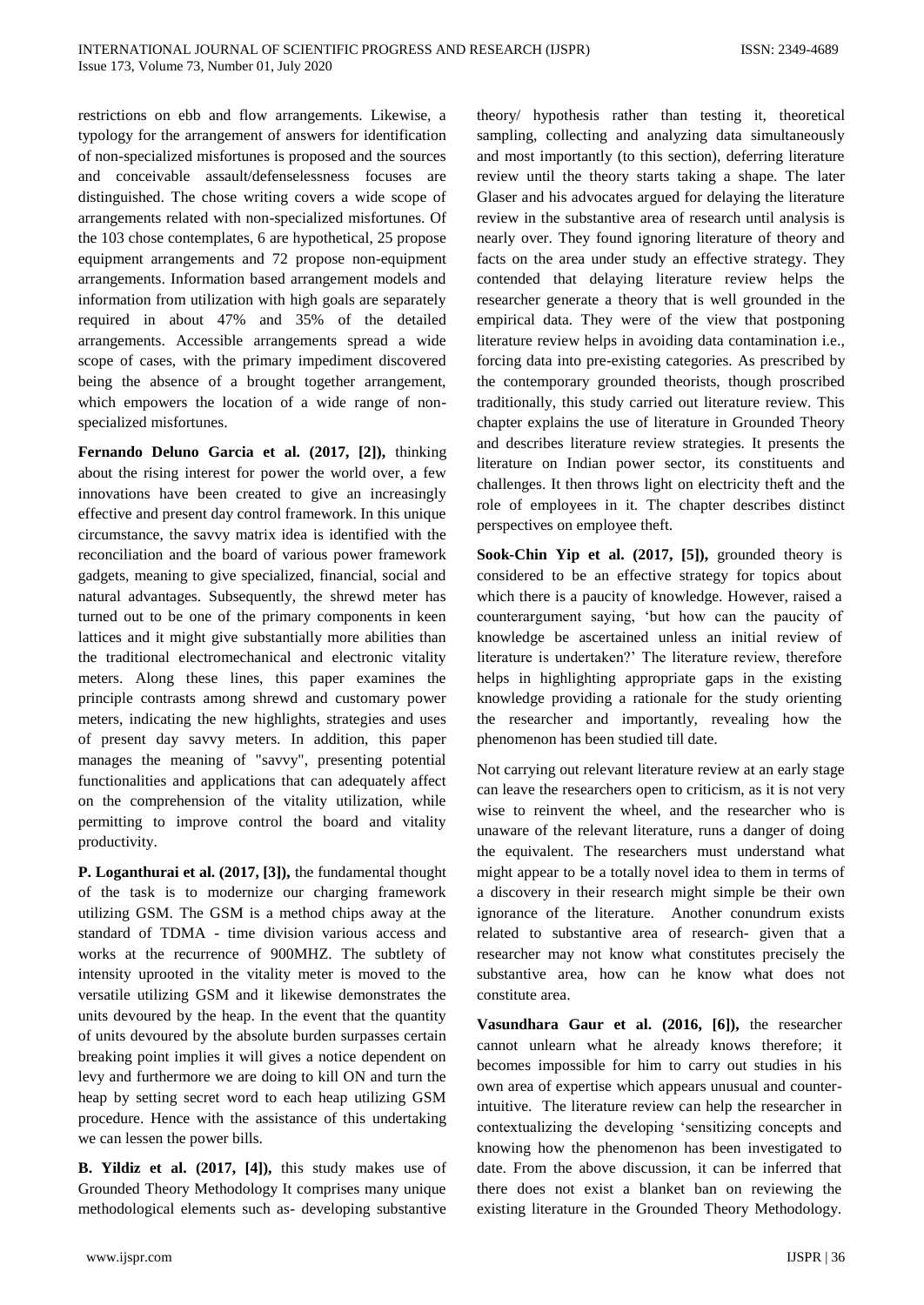restrictions on ebb and flow arrangements. Likewise, a typology for the arrangement of answers for identification of non-specialized misfortunes is proposed and the sources and conceivable assault/defenselessness focuses are distinguished. The chose writing covers a wide scope of arrangements related with non-specialized misfortunes. Of the 103 chose contemplates, 6 are hypothetical, 25 propose equipment arrangements and 72 propose non-equipment arrangements. Information based arrangement models and information from utilization with high goals are separately required in about 47% and 35% of the detailed arrangements. Accessible arrangements spread a wide scope of cases, with the primary impediment discovered being the absence of a brought together arrangement, which empowers the location of a wide range of nonspecialized misfortunes.

**Fernando Deluno Garcia et al. (2017, [2]),** thinking about the rising interest for power the world over, a few innovations have been created to give an increasingly effective and present day control framework. In this unique circumstance, the savvy matrix idea is identified with the reconciliation and the board of various power framework gadgets, meaning to give specialized, financial, social and natural advantages. Subsequently, the shrewd meter has turned out to be one of the primary components in keen lattices and it might give substantially more abilities than the traditional electromechanical and electronic vitality meters. Along these lines, this paper examines the principle contrasts among shrewd and customary power meters, indicating the new highlights, strategies and uses of present day savvy meters. In addition, this paper manages the meaning of "savvy", presenting potential functionalities and applications that can adequately affect on the comprehension of the vitality utilization, while permitting to improve control the board and vitality productivity.

**P. Loganthurai et al. (2017, [3]),** the fundamental thought of the task is to modernize our charging framework utilizing GSM. The GSM is a method chips away at the standard of TDMA - time division various access and works at the recurrence of 900MHZ. The subtlety of intensity uprooted in the vitality meter is moved to the versatile utilizing GSM and it likewise demonstrates the units devoured by the heap. In the event that the quantity of units devoured by the absolute burden surpasses certain breaking point implies it will gives a notice dependent on levy and furthermore we are doing to kill ON and turn the heap by setting secret word to each heap utilizing GSM procedure. Hence with the assistance of this undertaking we can lessen the power bills.

**B. Yildiz et al. (2017, [4]),** this study makes use of Grounded Theory Methodology It comprises many unique methodological elements such as- developing substantive

theory/ hypothesis rather than testing it, theoretical sampling, collecting and analyzing data simultaneously and most importantly (to this section), deferring literature review until the theory starts taking a shape. The later Glaser and his advocates argued for delaying the literature review in the substantive area of research until analysis is nearly over. They found ignoring literature of theory and facts on the area under study an effective strategy. They contended that delaying literature review helps the researcher generate a theory that is well grounded in the empirical data. They were of the view that postponing literature review helps in avoiding data contamination i.e., forcing data into pre-existing categories. As prescribed by the contemporary grounded theorists, though proscribed traditionally, this study carried out literature review. This chapter explains the use of literature in Grounded Theory and describes literature review strategies. It presents the literature on Indian power sector, its constituents and challenges. It then throws light on electricity theft and the role of employees in it. The chapter describes distinct perspectives on employee theft.

**Sook-Chin Yip et al. (2017, [5]),** grounded theory is considered to be an effective strategy for topics about which there is a paucity of knowledge. However, raised a counterargument saying, 'but how can the paucity of knowledge be ascertained unless an initial review of literature is undertaken?' The literature review, therefore helps in highlighting appropriate gaps in the existing knowledge providing a rationale for the study orienting the researcher and importantly, revealing how the phenomenon has been studied till date.

Not carrying out relevant literature review at an early stage can leave the researchers open to criticism, as it is not very wise to reinvent the wheel, and the researcher who is unaware of the relevant literature, runs a danger of doing the equivalent. The researchers must understand what might appear to be a totally novel idea to them in terms of a discovery in their research might simple be their own ignorance of the literature. Another conundrum exists related to substantive area of research- given that a researcher may not know what constitutes precisely the substantive area, how can he know what does not constitute area.

**Vasundhara Gaur et al. (2016, [6]),** the researcher cannot unlearn what he already knows therefore; it becomes impossible for him to carry out studies in his own area of expertise which appears unusual and counterintuitive. The literature review can help the researcher in contextualizing the developing 'sensitizing concepts and knowing how the phenomenon has been investigated to date. From the above discussion, it can be inferred that there does not exist a blanket ban on reviewing the existing literature in the Grounded Theory Methodology.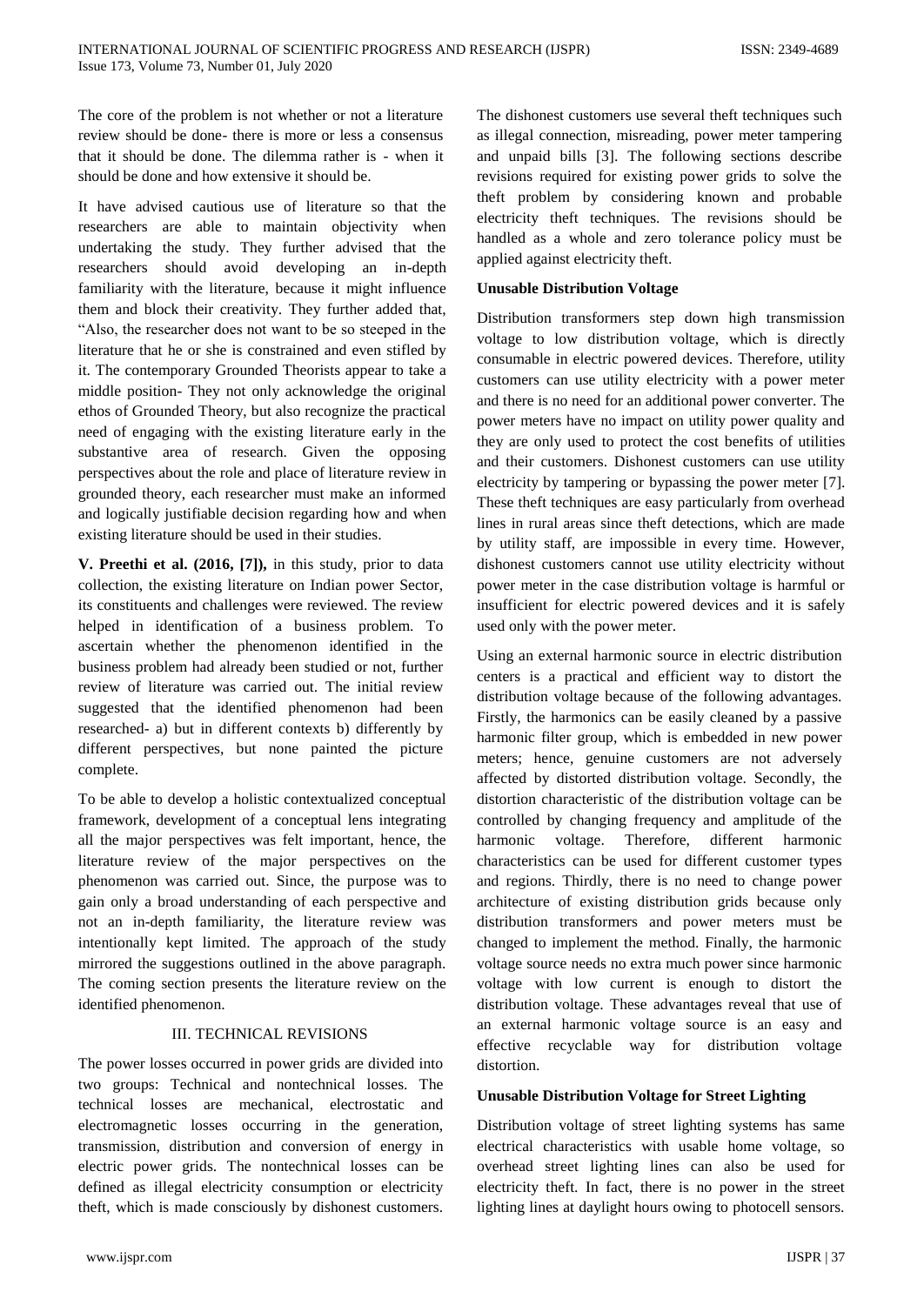The core of the problem is not whether or not a literature review should be done- there is more or less a consensus that it should be done. The dilemma rather is - when it should be done and how extensive it should be.

It have advised cautious use of literature so that the researchers are able to maintain objectivity when undertaking the study. They further advised that the researchers should avoid developing an in-depth familiarity with the literature, because it might influence them and block their creativity. They further added that, "Also, the researcher does not want to be so steeped in the literature that he or she is constrained and even stifled by it. The contemporary Grounded Theorists appear to take a middle position- They not only acknowledge the original ethos of Grounded Theory, but also recognize the practical need of engaging with the existing literature early in the substantive area of research. Given the opposing perspectives about the role and place of literature review in grounded theory, each researcher must make an informed and logically justifiable decision regarding how and when existing literature should be used in their studies.

**V. Preethi et al. (2016, [7]),** in this study, prior to data collection, the existing literature on Indian power Sector, its constituents and challenges were reviewed. The review helped in identification of a business problem. To ascertain whether the phenomenon identified in the business problem had already been studied or not, further review of literature was carried out. The initial review suggested that the identified phenomenon had been researched- a) but in different contexts b) differently by different perspectives, but none painted the picture complete.

To be able to develop a holistic contextualized conceptual framework, development of a conceptual lens integrating all the major perspectives was felt important, hence, the literature review of the major perspectives on the phenomenon was carried out. Since, the purpose was to gain only a broad understanding of each perspective and not an in-depth familiarity, the literature review was intentionally kept limited. The approach of the study mirrored the suggestions outlined in the above paragraph. The coming section presents the literature review on the identified phenomenon.

## III. TECHNICAL REVISIONS

The power losses occurred in power grids are divided into two groups: Technical and nontechnical losses. The technical losses are mechanical, electrostatic and electromagnetic losses occurring in the generation, transmission, distribution and conversion of energy in electric power grids. The nontechnical losses can be defined as illegal electricity consumption or electricity theft, which is made consciously by dishonest customers. The dishonest customers use several theft techniques such as illegal connection, misreading, power meter tampering and unpaid bills [3]. The following sections describe revisions required for existing power grids to solve the theft problem by considering known and probable electricity theft techniques. The revisions should be handled as a whole and zero tolerance policy must be applied against electricity theft.

### **Unusable Distribution Voltage**

Distribution transformers step down high transmission voltage to low distribution voltage, which is directly consumable in electric powered devices. Therefore, utility customers can use utility electricity with a power meter and there is no need for an additional power converter. The power meters have no impact on utility power quality and they are only used to protect the cost benefits of utilities and their customers. Dishonest customers can use utility electricity by tampering or bypassing the power meter [7]. These theft techniques are easy particularly from overhead lines in rural areas since theft detections, which are made by utility staff, are impossible in every time. However, dishonest customers cannot use utility electricity without power meter in the case distribution voltage is harmful or insufficient for electric powered devices and it is safely used only with the power meter.

Using an external harmonic source in electric distribution centers is a practical and efficient way to distort the distribution voltage because of the following advantages. Firstly, the harmonics can be easily cleaned by a passive harmonic filter group, which is embedded in new power meters; hence, genuine customers are not adversely affected by distorted distribution voltage. Secondly, the distortion characteristic of the distribution voltage can be controlled by changing frequency and amplitude of the harmonic voltage. Therefore, different harmonic characteristics can be used for different customer types and regions. Thirdly, there is no need to change power architecture of existing distribution grids because only distribution transformers and power meters must be changed to implement the method. Finally, the harmonic voltage source needs no extra much power since harmonic voltage with low current is enough to distort the distribution voltage. These advantages reveal that use of an external harmonic voltage source is an easy and effective recyclable way for distribution voltage distortion.

## **Unusable Distribution Voltage for Street Lighting**

Distribution voltage of street lighting systems has same electrical characteristics with usable home voltage, so overhead street lighting lines can also be used for electricity theft. In fact, there is no power in the street lighting lines at daylight hours owing to photocell sensors.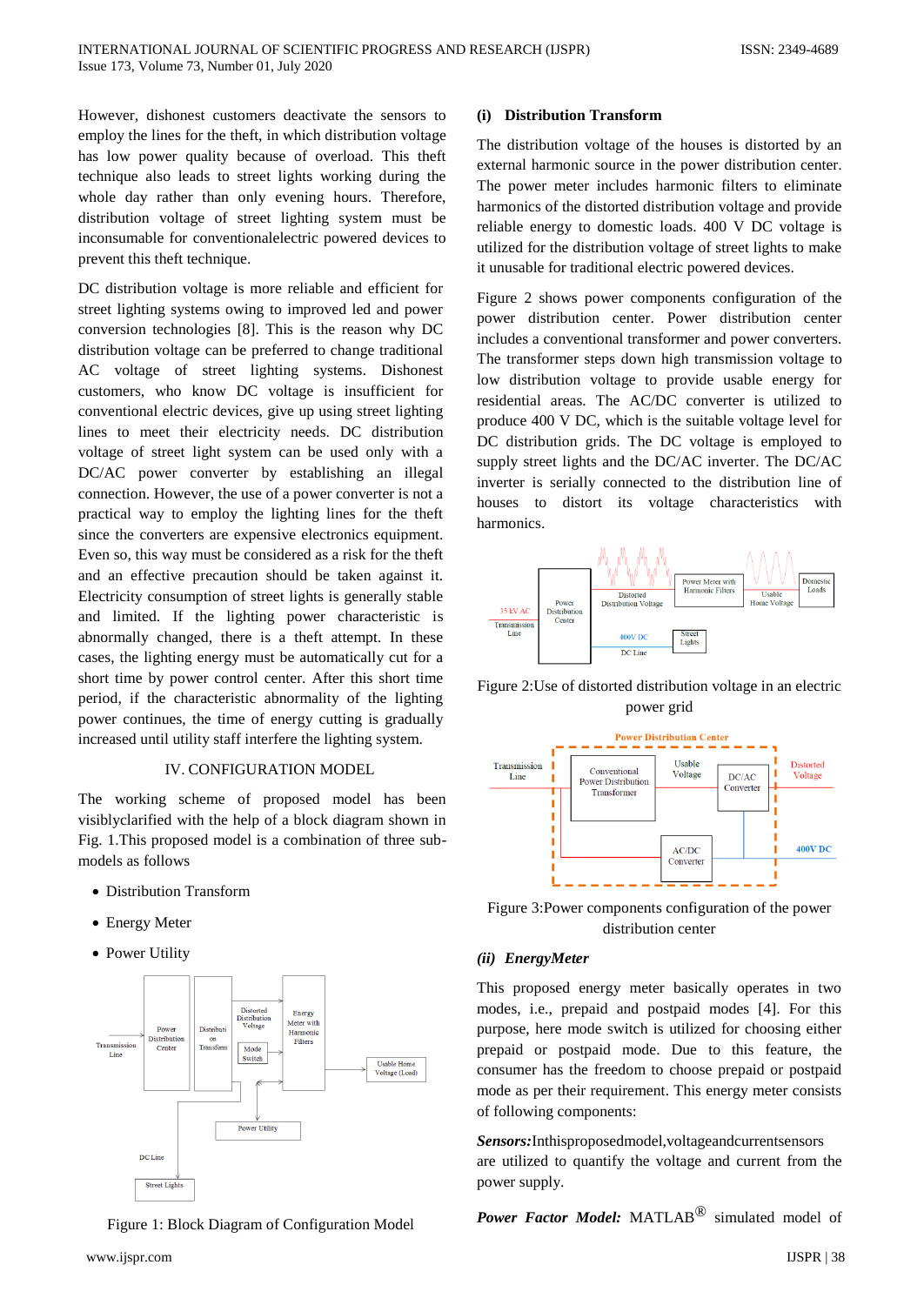However, dishonest customers deactivate the sensors to employ the lines for the theft, in which distribution voltage has low power quality because of overload. This theft technique also leads to street lights working during the whole day rather than only evening hours. Therefore, distribution voltage of street lighting system must be inconsumable for conventionalelectric powered devices to prevent this theft technique.

DC distribution voltage is more reliable and efficient for street lighting systems owing to improved led and power conversion technologies [8]. This is the reason why DC distribution voltage can be preferred to change traditional AC voltage of street lighting systems. Dishonest customers, who know DC voltage is insufficient for conventional electric devices, give up using street lighting lines to meet their electricity needs. DC distribution voltage of street light system can be used only with a DC/AC power converter by establishing an illegal connection. However, the use of a power converter is not a practical way to employ the lighting lines for the theft since the converters are expensive electronics equipment. Even so, this way must be considered as a risk for the theft and an effective precaution should be taken against it. Electricity consumption of street lights is generally stable and limited. If the lighting power characteristic is abnormally changed, there is a theft attempt. In these cases, the lighting energy must be automatically cut for a short time by power control center. After this short time period, if the characteristic abnormality of the lighting power continues, the time of energy cutting is gradually increased until utility staff interfere the lighting system.

#### IV. CONFIGURATION MODEL

The working scheme of proposed model has been visiblyclarified with the help of a block diagram shown in Fig. 1.This proposed model is a combination of three submodels as follows

- Distribution Transform
- Energy Meter
- Power Utility



Figure 1: Block Diagram of Configuration Model

#### **(i) Distribution Transform**

The distribution voltage of the houses is distorted by an external harmonic source in the power distribution center. The power meter includes harmonic filters to eliminate harmonics of the distorted distribution voltage and provide reliable energy to domestic loads. 400 V DC voltage is utilized for the distribution voltage of street lights to make it unusable for traditional electric powered devices.

Figure 2 shows power components configuration of the power distribution center. Power distribution center includes a conventional transformer and power converters. The transformer steps down high transmission voltage to low distribution voltage to provide usable energy for residential areas. The AC/DC converter is utilized to produce 400 V DC, which is the suitable voltage level for DC distribution grids. The DC voltage is employed to supply street lights and the DC/AC inverter. The DC/AC inverter is serially connected to the distribution line of houses to distort its voltage characteristics with harmonics.







Figure 3:Power components configuration of the power distribution center

#### *(ii) EnergyMeter*

This proposed energy meter basically operates in two modes, i.e., prepaid and postpaid modes [4]. For this purpose, here mode switch is utilized for choosing either prepaid or postpaid mode. Due to this feature, the consumer has the freedom to choose prepaid or postpaid mode as per their requirement. This energy meter consists of following components:

*Sensors:*Inthisproposedmodel,voltageandcurrentsensors are utilized to quantify the voltage and current from the power supply.

*Power Factor Model:* MATLAB® simulated model of